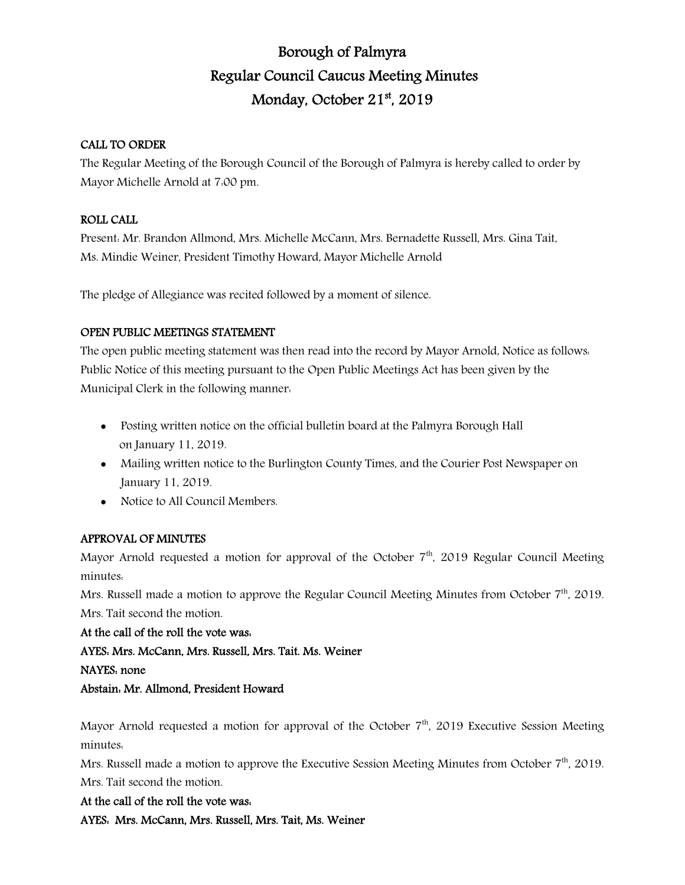# Borough of Palmyra Regular Council Caucus Meeting Minutes Monday, October 21st, 2019

# CALL TO ORDER

The Regular Meeting of the Borough Council of the Borough of Palmyra is hereby called to order by Mayor Michelle Arnold at 7:00 pm.

# ROLL CALL

Present: Mr. Brandon Allmond, Mrs. Michelle McCann, Mrs. Bernadette Russell, Mrs. Gina Tait, Ms. Mindie Weiner, President Timothy Howard, Mayor Michelle Arnold

The pledge of Allegiance was recited followed by a moment of silence.

# OPEN PUBLIC MEETINGS STATEMENT

The open public meeting statement was then read into the record by Mayor Arnold, Notice as follows: Public Notice of this meeting pursuant to the Open Public Meetings Act has been given by the Municipal Clerk in the following manner:

- Posting written notice on the official bulletin board at the Palmyra Borough Hall on January 11, 2019.
- Mailing written notice to the Burlington County Times, and the Courier Post Newspaper on January 11, 2019.
- Notice to All Council Members.

# APPROVAL OF MINUTES

Mayor Arnold requested a motion for approval of the October  $7<sup>th</sup>$ , 2019 Regular Council Meeting minutes:

Mrs. Russell made a motion to approve the Regular Council Meeting Minutes from October 7<sup>th</sup>, 2019. Mrs. Tait second the motion.

At the call of the roll the vote was:

AYES: Mrs. McCann, Mrs. Russell, Mrs. Tait. Ms. Weiner

# NAYES: none

Abstain: Mr. Allmond, President Howard

Mayor Arnold requested a motion for approval of the October  $7<sup>th</sup>$ , 2019 Executive Session Meeting minutes:

Mrs. Russell made a motion to approve the Executive Session Meeting Minutes from October 7<sup>th</sup>, 2019. Mrs. Tait second the motion.

At the call of the roll the vote was: AYES: Mrs. McCann, Mrs. Russell, Mrs. Tait, Ms. Weiner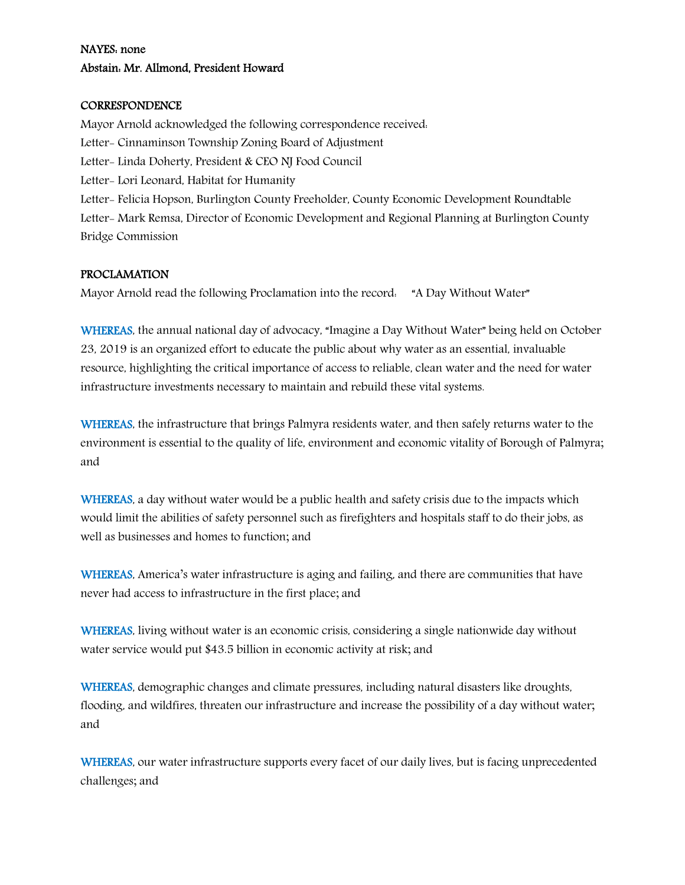# NAYES: none Abstain: Mr. Allmond, President Howard

#### **CORRESPONDENCE**

Mayor Arnold acknowledged the following correspondence received: Letter- Cinnaminson Township Zoning Board of Adjustment Letter- Linda Doherty, President & CEO NJ Food Council Letter- Lori Leonard, Habitat for Humanity Letter- Felicia Hopson, Burlington County Freeholder, County Economic Development Roundtable Letter- Mark Remsa, Director of Economic Development and Regional Planning at Burlington County Bridge Commission

#### PROCLAMATION

Mayor Arnold read the following Proclamation into the record: "A Day Without Water"

WHEREAS, the annual national day of advocacy, "Imagine a Day Without Water" being held on October 23, 2019 is an organized effort to educate the public about why water as an essential, invaluable resource, highlighting the critical importance of access to reliable, clean water and the need for water infrastructure investments necessary to maintain and rebuild these vital systems.

WHEREAS, the infrastructure that brings Palmyra residents water, and then safely returns water to the environment is essential to the quality of life, environment and economic vitality of Borough of Palmyra; and

WHEREAS, a day without water would be a public health and safety crisis due to the impacts which would limit the abilities of safety personnel such as firefighters and hospitals staff to do their jobs, as well as businesses and homes to function; and

WHEREAS, America's water infrastructure is aging and failing, and there are communities that have never had access to infrastructure in the first place; and

WHEREAS, living without water is an economic crisis, considering a single nationwide day without water service would put \$43.5 billion in economic activity at risk; and

WHEREAS, demographic changes and climate pressures, including natural disasters like droughts, flooding, and wildfires, threaten our infrastructure and increase the possibility of a day without water; and

WHEREAS, our water infrastructure supports every facet of our daily lives, but is facing unprecedented challenges; and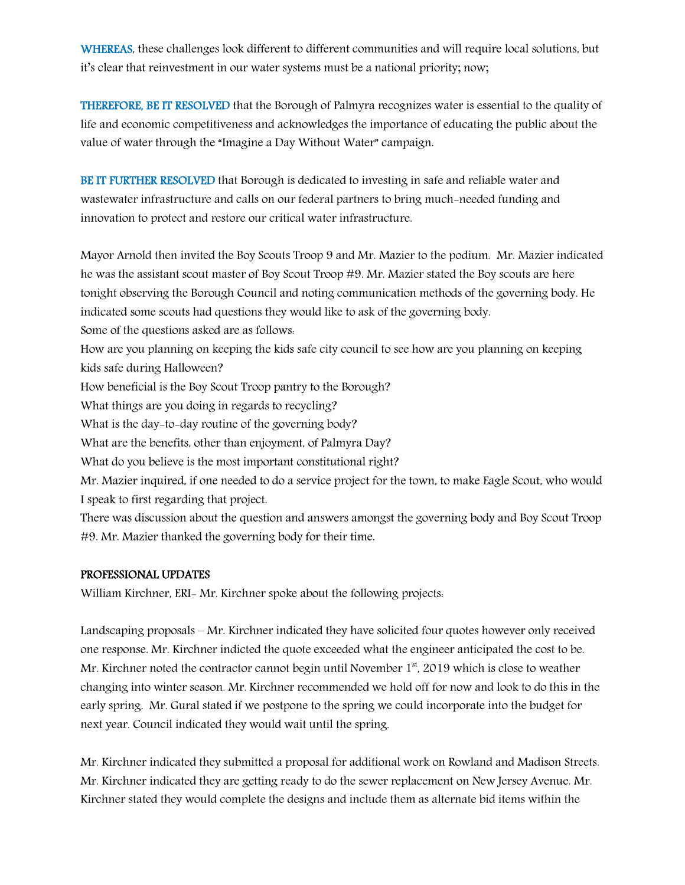WHEREAS, these challenges look different to different communities and will require local solutions, but it's clear that reinvestment in our water systems must be a national priority; now;

THEREFORE, BE IT RESOLVED that the Borough of Palmyra recognizes water is essential to the quality of life and economic competitiveness and acknowledges the importance of educating the public about the value of water through the "Imagine a Day Without Water" campaign.

BE IT FURTHER RESOLVED that Borough is dedicated to investing in safe and reliable water and wastewater infrastructure and calls on our federal partners to bring much-needed funding and innovation to protect and restore our critical water infrastructure.

Mayor Arnold then invited the Boy Scouts Troop 9 and Mr. Mazier to the podium. Mr. Mazier indicated he was the assistant scout master of Boy Scout Troop #9. Mr. Mazier stated the Boy scouts are here tonight observing the Borough Council and noting communication methods of the governing body. He indicated some scouts had questions they would like to ask of the governing body. Some of the questions asked are as follows: How are you planning on keeping the kids safe city council to see how are you planning on keeping kids safe during Halloween? How beneficial is the Boy Scout Troop pantry to the Borough? What things are you doing in regards to recycling?

What is the day-to-day routine of the governing body?

What are the benefits, other than enjoyment, of Palmyra Day?

What do you believe is the most important constitutional right?

Mr. Mazier inquired, if one needed to do a service project for the town, to make Eagle Scout, who would I speak to first regarding that project.

There was discussion about the question and answers amongst the governing body and Boy Scout Troop #9. Mr. Mazier thanked the governing body for their time.

#### PROFESSIONAL UPDATES

William Kirchner, ERI- Mr. Kirchner spoke about the following projects.

Landscaping proposals – Mr. Kirchner indicated they have solicited four quotes however only received one response. Mr. Kirchner indicted the quote exceeded what the engineer anticipated the cost to be. Mr. Kirchner noted the contractor cannot begin until November 1<sup>st</sup>, 2019 which is close to weather changing into winter season. Mr. Kirchner recommended we hold off for now and look to do this in the early spring. Mr. Gural stated if we postpone to the spring we could incorporate into the budget for next year. Council indicated they would wait until the spring.

Mr. Kirchner indicated they submitted a proposal for additional work on Rowland and Madison Streets. Mr. Kirchner indicated they are getting ready to do the sewer replacement on New Jersey Avenue. Mr. Kirchner stated they would complete the designs and include them as alternate bid items within the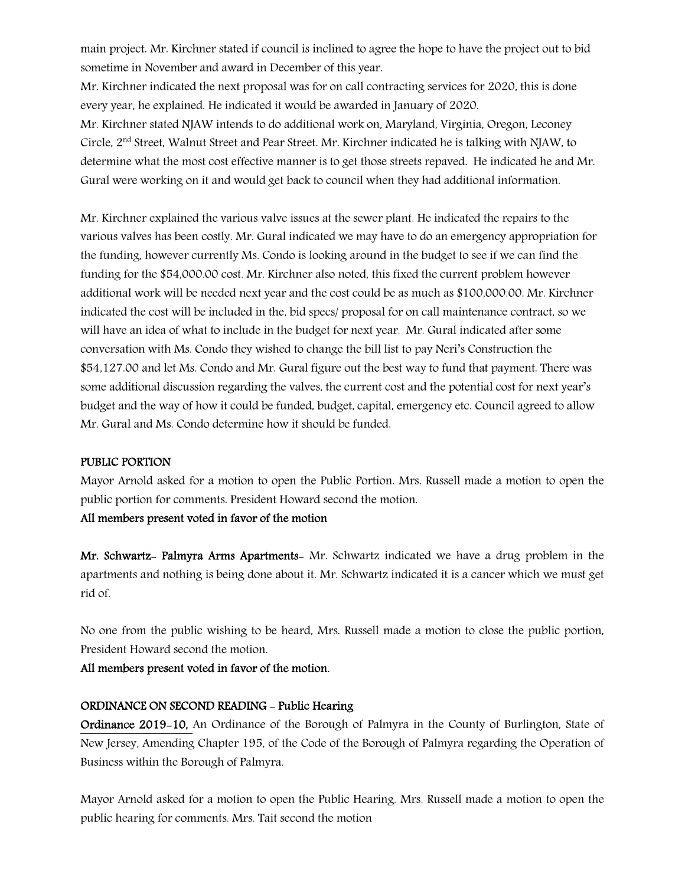main project. Mr. Kirchner stated if council is inclined to agree the hope to have the project out to bid sometime in November and award in December of this year.

Mr. Kirchner indicated the next proposal was for on call contracting services for 2020, this is done every year, he explained. He indicated it would be awarded in January of 2020.

Mr. Kirchner stated NJAW intends to do additional work on, Maryland, Virginia, Oregon, Leconey Circle, 2nd Street, Walnut Street and Pear Street. Mr. Kirchner indicated he is talking with NJAW, to determine what the most cost effective manner is to get those streets repaved. He indicated he and Mr. Gural were working on it and would get back to council when they had additional information.

Mr. Kirchner explained the various valve issues at the sewer plant. He indicated the repairs to the various valves has been costly. Mr. Gural indicated we may have to do an emergency appropriation for the funding, however currently Ms. Condo is looking around in the budget to see if we can find the funding for the \$54,000.00 cost. Mr. Kirchner also noted, this fixed the current problem however additional work will be needed next year and the cost could be as much as \$100,000.00. Mr. Kirchner indicated the cost will be included in the, bid specs/ proposal for on call maintenance contract, so we will have an idea of what to include in the budget for next year. Mr. Gural indicated after some conversation with Ms. Condo they wished to change the bill list to pay Neri's Construction the \$54,127.00 and let Ms. Condo and Mr. Gural figure out the best way to fund that payment. There was some additional discussion regarding the valves, the current cost and the potential cost for next year's budget and the way of how it could be funded, budget, capital, emergency etc. Council agreed to allow Mr. Gural and Ms. Condo determine how it should be funded.

#### PUBLIC PORTION

Mayor Arnold asked for a motion to open the Public Portion. Mrs. Russell made a motion to open the public portion for comments. President Howard second the motion.

## All members present voted in favor of the motion

Mr. Schwartz- Palmyra Arms Apartments- Mr. Schwartz indicated we have a drug problem in the apartments and nothing is being done about it. Mr. Schwartz indicated it is a cancer which we must get rid of.

No one from the public wishing to be heard, Mrs. Russell made a motion to close the public portion, President Howard second the motion.

All members present voted in favor of the motion.

#### ORDINANCE ON SECOND READING - Public Hearing

Ordinance 2019-10, An Ordinance of the Borough of Palmyra in the County of Burlington, State of New Jersey, Amending Chapter 195, of the Code of the Borough of Palmyra regarding the Operation of Business within the Borough of Palmyra.

Mayor Arnold asked for a motion to open the Public Hearing. Mrs. Russell made a motion to open the public hearing for comments. Mrs. Tait second the motion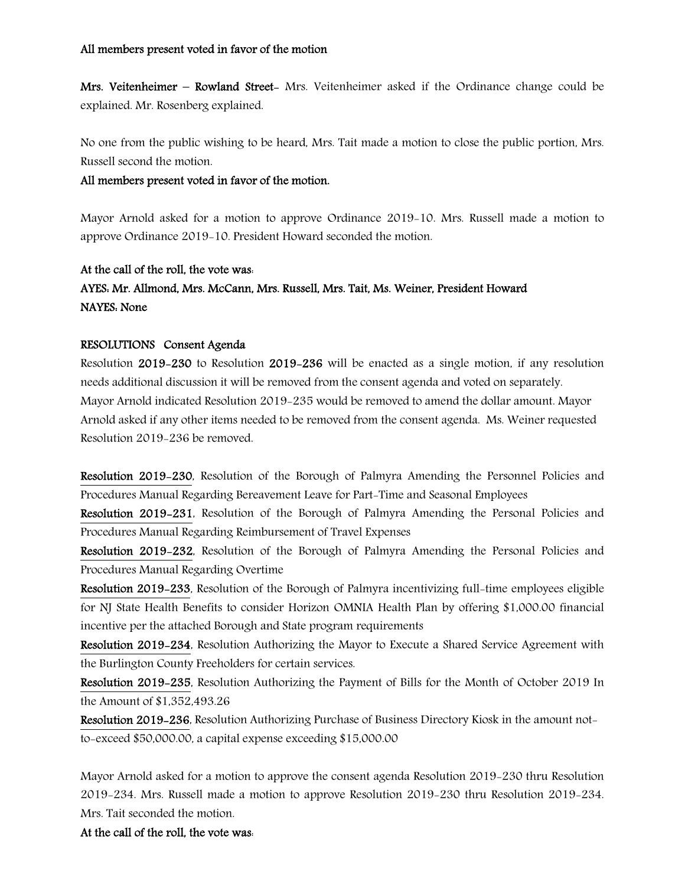Mrs. Veitenheimer – Rowland Street- Mrs. Veitenheimer asked if the Ordinance change could be explained. Mr. Rosenberg explained.

No one from the public wishing to be heard, Mrs. Tait made a motion to close the public portion, Mrs. Russell second the motion.

All members present voted in favor of the motion.

Mayor Arnold asked for a motion to approve Ordinance 2019-10. Mrs. Russell made a motion to approve Ordinance 2019-10. President Howard seconded the motion.

#### At the call of the roll, the vote was:

# AYES: Mr. Allmond, Mrs. McCann, Mrs. Russell, Mrs. Tait, Ms. Weiner, President Howard NAYES: None

## RESOLUTIONS Consent Agenda

Resolution 2019-230 to Resolution 2019-236 will be enacted as a single motion, if any resolution needs additional discussion it will be removed from the consent agenda and voted on separately. Mayor Arnold indicated Resolution 2019-235 would be removed to amend the dollar amount. Mayor Arnold asked if any other items needed to be removed from the consent agenda. Ms. Weiner requested Resolution 2019-236 be removed.

Resolution 2019-230, Resolution of the Borough of Palmyra Amending the Personnel Policies and Procedures Manual Regarding Bereavement Leave for Part-Time and Seasonal Employees

Resolution 2019-231, Resolution of the Borough of Palmyra Amending the Personal Policies and Procedures Manual Regarding Reimbursement of Travel Expenses

Resolution 2019-232, Resolution of the Borough of Palmyra Amending the Personal Policies and Procedures Manual Regarding Overtime

Resolution 2019-233, Resolution of the Borough of Palmyra incentivizing full-time employees eligible for NJ State Health Benefits to consider Horizon OMNIA Health Plan by offering \$1,000.00 financial incentive per the attached Borough and State program requirements

Resolution 2019-234, Resolution Authorizing the Mayor to Execute a Shared Service Agreement with the Burlington County Freeholders for certain services.

Resolution 2019-235, Resolution Authorizing the Payment of Bills for the Month of October 2019 In the Amount of \$1,352,493.26

Resolution 2019-236, Resolution Authorizing Purchase of Business Directory Kiosk in the amount notto-exceed \$50,000.00, a capital expense exceeding \$15,000.00

Mayor Arnold asked for a motion to approve the consent agenda Resolution 2019-230 thru Resolution 2019-234. Mrs. Russell made a motion to approve Resolution 2019-230 thru Resolution 2019-234. Mrs. Tait seconded the motion.

At the call of the roll, the vote was: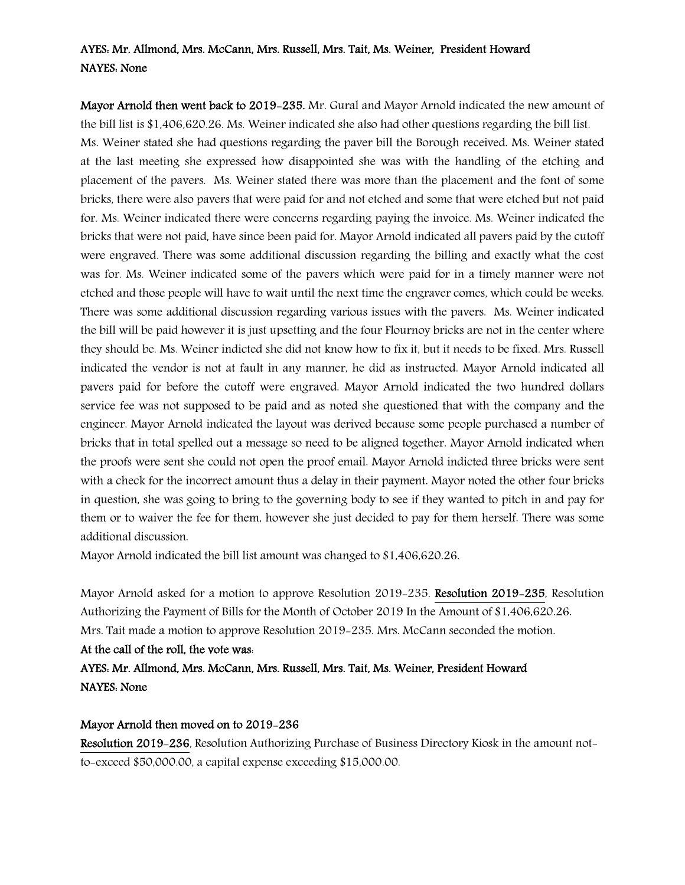# AYES: Mr. Allmond, Mrs. McCann, Mrs. Russell, Mrs. Tait, Ms. Weiner, President Howard NAYES: None

Mayor Arnold then went back to 2019-235. Mr. Gural and Mayor Arnold indicated the new amount of the bill list is \$1,406,620.26. Ms. Weiner indicated she also had other questions regarding the bill list.

Ms. Weiner stated she had questions regarding the paver bill the Borough received. Ms. Weiner stated at the last meeting she expressed how disappointed she was with the handling of the etching and placement of the pavers. Ms. Weiner stated there was more than the placement and the font of some bricks, there were also pavers that were paid for and not etched and some that were etched but not paid for. Ms. Weiner indicated there were concerns regarding paying the invoice. Ms. Weiner indicated the bricks that were not paid, have since been paid for. Mayor Arnold indicated all pavers paid by the cutoff were engraved. There was some additional discussion regarding the billing and exactly what the cost was for. Ms. Weiner indicated some of the pavers which were paid for in a timely manner were not etched and those people will have to wait until the next time the engraver comes, which could be weeks. There was some additional discussion regarding various issues with the pavers. Ms. Weiner indicated the bill will be paid however it is just upsetting and the four Flournoy bricks are not in the center where they should be. Ms. Weiner indicted she did not know how to fix it, but it needs to be fixed. Mrs. Russell indicated the vendor is not at fault in any manner, he did as instructed. Mayor Arnold indicated all pavers paid for before the cutoff were engraved. Mayor Arnold indicated the two hundred dollars service fee was not supposed to be paid and as noted she questioned that with the company and the engineer. Mayor Arnold indicated the layout was derived because some people purchased a number of bricks that in total spelled out a message so need to be aligned together. Mayor Arnold indicated when the proofs were sent she could not open the proof email. Mayor Arnold indicted three bricks were sent with a check for the incorrect amount thus a delay in their payment. Mayor noted the other four bricks in question, she was going to bring to the governing body to see if they wanted to pitch in and pay for them or to waiver the fee for them, however she just decided to pay for them herself. There was some additional discussion.

Mayor Arnold indicated the bill list amount was changed to \$1,406,620.26.

Mayor Arnold asked for a motion to approve Resolution 2019-235. Resolution 2019-235, Resolution Authorizing the Payment of Bills for the Month of October 2019 In the Amount of \$1,406,620.26. Mrs. Tait made a motion to approve Resolution 2019-235. Mrs. McCann seconded the motion.

# At the call of the roll, the vote was:

AYES: Mr. Allmond, Mrs. McCann, Mrs. Russell, Mrs. Tait, Ms. Weiner, President Howard NAYES: None

#### Mayor Arnold then moved on to 2019-236

Resolution 2019-236, Resolution Authorizing Purchase of Business Directory Kiosk in the amount notto-exceed \$50,000.00, a capital expense exceeding \$15,000.00.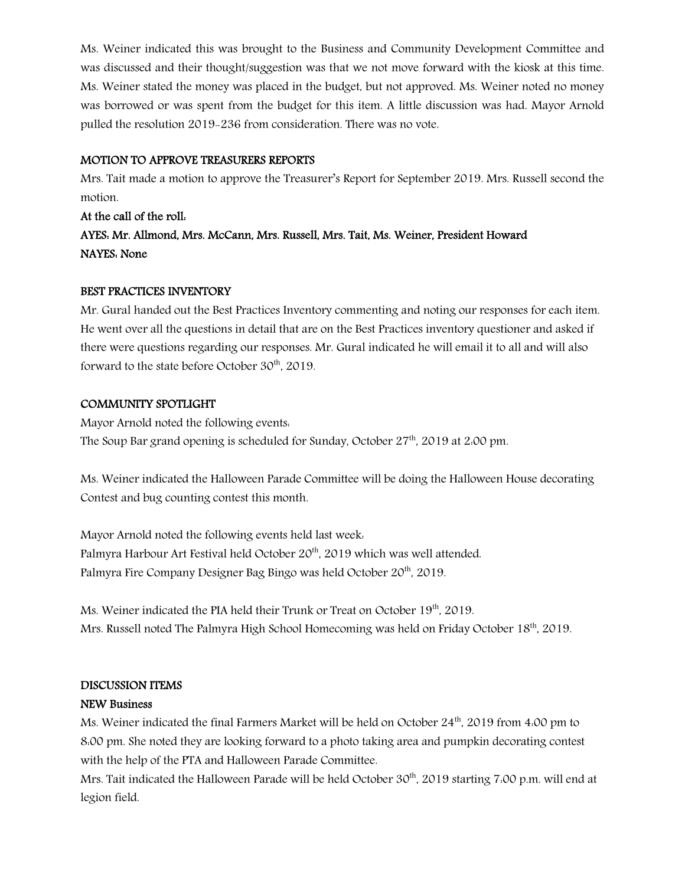Ms. Weiner indicated this was brought to the Business and Community Development Committee and was discussed and their thought/suggestion was that we not move forward with the kiosk at this time. Ms. Weiner stated the money was placed in the budget, but not approved. Ms. Weiner noted no money was borrowed or was spent from the budget for this item. A little discussion was had. Mayor Arnold pulled the resolution 2019-236 from consideration. There was no vote.

# MOTION TO APPROVE TREASURERS REPORTS

Mrs. Tait made a motion to approve the Treasurer's Report for September 2019. Mrs. Russell second the motion.

At the call of the roll: AYES: Mr. Allmond, Mrs. McCann, Mrs. Russell, Mrs. Tait, Ms. Weiner, President Howard NAYES: None

## BEST PRACTICES INVENTORY

Mr. Gural handed out the Best Practices Inventory commenting and noting our responses for each item. He went over all the questions in detail that are on the Best Practices inventory questioner and asked if there were questions regarding our responses. Mr. Gural indicated he will email it to all and will also forward to the state before October  $30<sup>th</sup>$ , 2019.

## COMMUNITY SPOTLIGHT

Mayor Arnold noted the following events: The Soup Bar grand opening is scheduled for Sunday, October  $27<sup>th</sup>$ , 2019 at 2:00 pm.

Ms. Weiner indicated the Halloween Parade Committee will be doing the Halloween House decorating Contest and bug counting contest this month.

Mayor Arnold noted the following events held last week: Palmyra Harbour Art Festival held October 20<sup>th</sup>, 2019 which was well attended. Palmyra Fire Company Designer Bag Bingo was held October 20<sup>th</sup>, 2019.

Ms. Weiner indicated the PIA held their Trunk or Treat on October 19<sup>th</sup>, 2019. Mrs. Russell noted The Palmyra High School Homecoming was held on Friday October 18th, 2019.

# DISCUSSION ITEMS

#### NEW Business

Ms. Weiner indicated the final Farmers Market will be held on October  $24<sup>th</sup>$ , 2019 from 4:00 pm to 8:00 pm. She noted they are looking forward to a photo taking area and pumpkin decorating contest with the help of the PTA and Halloween Parade Committee.

Mrs. Tait indicated the Halloween Parade will be held October 30<sup>th</sup>, 2019 starting 7:00 p.m. will end at legion field.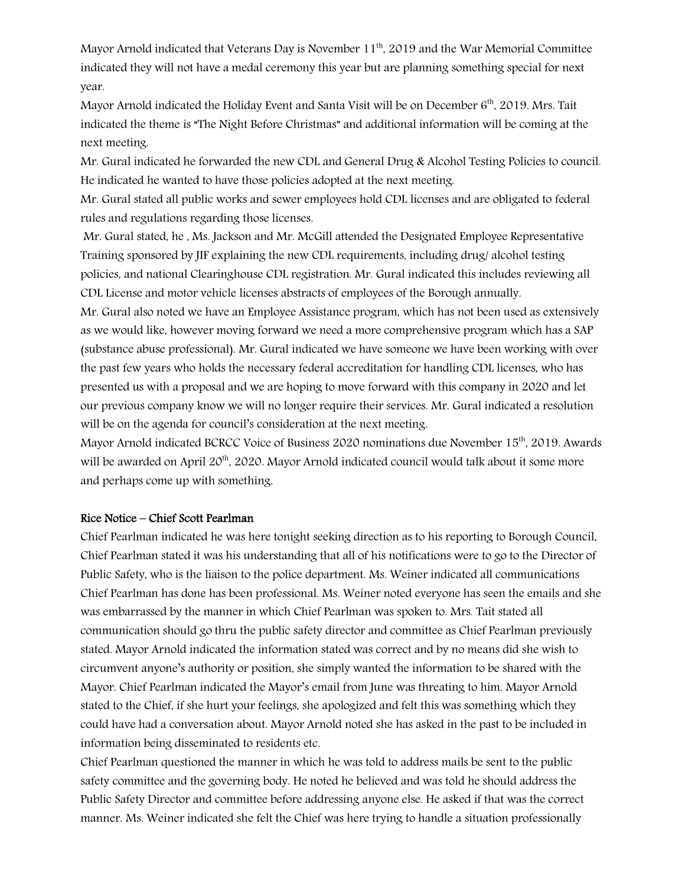Mayor Arnold indicated that Veterans Day is November 11<sup>th</sup>, 2019 and the War Memorial Committee indicated they will not have a medal ceremony this year but are planning something special for next year.

Mayor Arnold indicated the Holiday Event and Santa Visit will be on December 6<sup>th</sup>, 2019. Mrs. Tait indicated the theme is "The Night Before Christmas" and additional information will be coming at the next meeting.

Mr. Gural indicated he forwarded the new CDL and General Drug & Alcohol Testing Policies to council. He indicated he wanted to have those policies adopted at the next meeting.

Mr. Gural stated all public works and sewer employees hold CDL licenses and are obligated to federal rules and regulations regarding those licenses.

Mr. Gural stated, he , Ms. Jackson and Mr. McGill attended the Designated Employee Representative Training sponsored by JIF explaining the new CDL requirements, including drug/ alcohol testing policies, and national Clearinghouse CDL registration. Mr. Gural indicated this includes reviewing all CDL License and motor vehicle licenses abstracts of employees of the Borough annually.

Mr. Gural also noted we have an Employee Assistance program, which has not been used as extensively as we would like, however moving forward we need a more comprehensive program which has a SAP (substance abuse professional). Mr. Gural indicated we have someone we have been working with over the past few years who holds the necessary federal accreditation for handling CDL licenses, who has presented us with a proposal and we are hoping to move forward with this company in 2020 and let our previous company know we will no longer require their services. Mr. Gural indicated a resolution will be on the agenda for council's consideration at the next meeting.

Mayor Arnold indicated BCRCC Voice of Business 2020 nominations due November 15<sup>th</sup>, 2019. Awards will be awarded on April 20<sup>th</sup>, 2020. Mayor Arnold indicated council would talk about it some more and perhaps come up with something.

#### Rice Notice – Chief Scott Pearlman

Chief Pearlman indicated he was here tonight seeking direction as to his reporting to Borough Council. Chief Pearlman stated it was his understanding that all of his notifications were to go to the Director of Public Safety, who is the liaison to the police department. Ms. Weiner indicated all communications Chief Pearlman has done has been professional. Ms. Weiner noted everyone has seen the emails and she was embarrassed by the manner in which Chief Pearlman was spoken to. Mrs. Tait stated all communication should go thru the public safety director and committee as Chief Pearlman previously stated. Mayor Arnold indicated the information stated was correct and by no means did she wish to circumvent anyone's authority or position, she simply wanted the information to be shared with the Mayor. Chief Pearlman indicated the Mayor's email from June was threating to him. Mayor Arnold stated to the Chief, if she hurt your feelings, she apologized and felt this was something which they could have had a conversation about. Mayor Arnold noted she has asked in the past to be included in information being disseminated to residents etc.

Chief Pearlman questioned the manner in which he was told to address mails be sent to the public safety committee and the governing body. He noted he believed and was told he should address the Public Safety Director and committee before addressing anyone else. He asked if that was the correct manner. Ms. Weiner indicated she felt the Chief was here trying to handle a situation professionally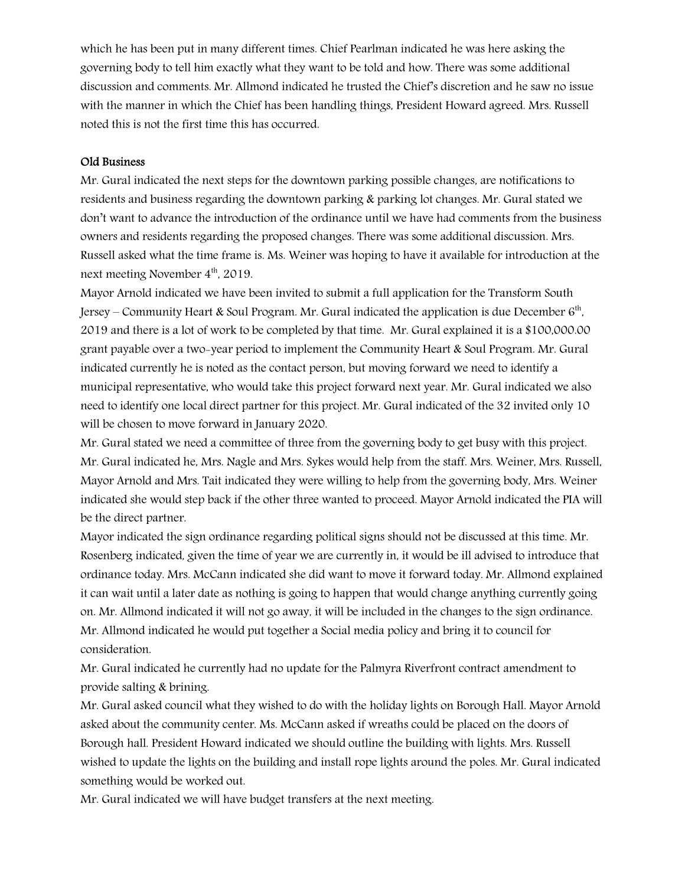which he has been put in many different times. Chief Pearlman indicated he was here asking the governing body to tell him exactly what they want to be told and how. There was some additional discussion and comments. Mr. Allmond indicated he trusted the Chief's discretion and he saw no issue with the manner in which the Chief has been handling things, President Howard agreed. Mrs. Russell noted this is not the first time this has occurred.

#### Old Business

Mr. Gural indicated the next steps for the downtown parking possible changes, are notifications to residents and business regarding the downtown parking & parking lot changes. Mr. Gural stated we don't want to advance the introduction of the ordinance until we have had comments from the business owners and residents regarding the proposed changes. There was some additional discussion. Mrs. Russell asked what the time frame is. Ms. Weiner was hoping to have it available for introduction at the next meeting November  $4<sup>th</sup>$ , 2019.

Mayor Arnold indicated we have been invited to submit a full application for the Transform South Jersey – Community Heart & Soul Program. Mr. Gural indicated the application is due December  $6<sup>th</sup>$ , 2019 and there is a lot of work to be completed by that time. Mr. Gural explained it is a \$100,000.00 grant payable over a two-year period to implement the Community Heart & Soul Program. Mr. Gural indicated currently he is noted as the contact person, but moving forward we need to identify a municipal representative, who would take this project forward next year. Mr. Gural indicated we also need to identify one local direct partner for this project. Mr. Gural indicated of the 32 invited only 10 will be chosen to move forward in January 2020.

Mr. Gural stated we need a committee of three from the governing body to get busy with this project. Mr. Gural indicated he, Mrs. Nagle and Mrs. Sykes would help from the staff. Mrs. Weiner, Mrs. Russell, Mayor Arnold and Mrs. Tait indicated they were willing to help from the governing body, Mrs. Weiner indicated she would step back if the other three wanted to proceed. Mayor Arnold indicated the PIA will be the direct partner.

Mayor indicated the sign ordinance regarding political signs should not be discussed at this time. Mr. Rosenberg indicated, given the time of year we are currently in, it would be ill advised to introduce that ordinance today. Mrs. McCann indicated she did want to move it forward today. Mr. Allmond explained it can wait until a later date as nothing is going to happen that would change anything currently going on. Mr. Allmond indicated it will not go away, it will be included in the changes to the sign ordinance. Mr. Allmond indicated he would put together a Social media policy and bring it to council for consideration.

Mr. Gural indicated he currently had no update for the Palmyra Riverfront contract amendment to provide salting & brining.

Mr. Gural asked council what they wished to do with the holiday lights on Borough Hall. Mayor Arnold asked about the community center. Ms. McCann asked if wreaths could be placed on the doors of Borough hall. President Howard indicated we should outline the building with lights. Mrs. Russell wished to update the lights on the building and install rope lights around the poles. Mr. Gural indicated something would be worked out.

Mr. Gural indicated we will have budget transfers at the next meeting.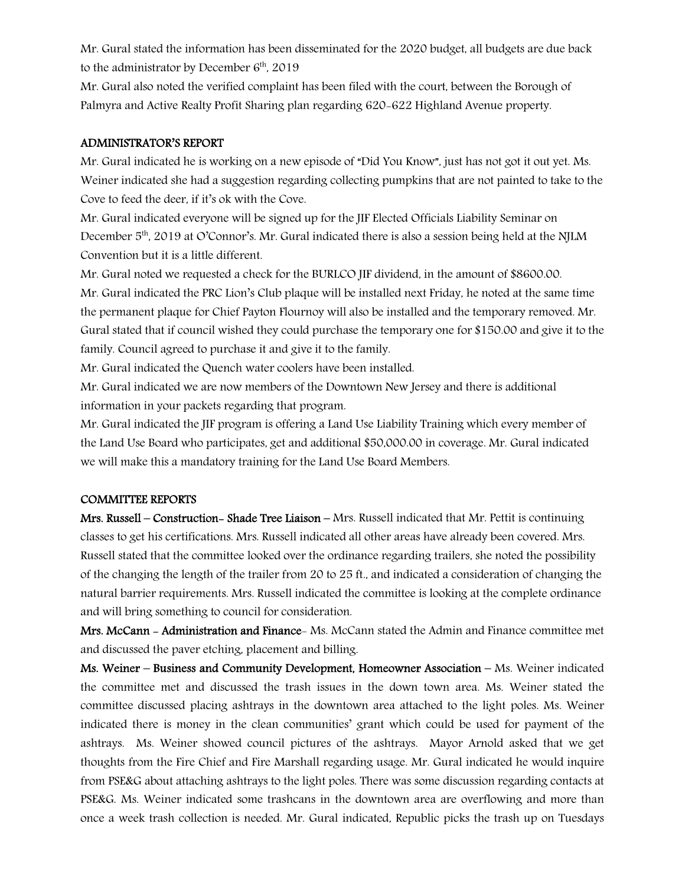Mr. Gural stated the information has been disseminated for the 2020 budget, all budgets are due back to the administrator by December  $6<sup>th</sup>$ , 2019

Mr. Gural also noted the verified complaint has been filed with the court, between the Borough of Palmyra and Active Realty Profit Sharing plan regarding 620-622 Highland Avenue property.

#### ADMINISTRATOR'S REPORT

Mr. Gural indicated he is working on a new episode of "Did You Know", just has not got it out yet. Ms. Weiner indicated she had a suggestion regarding collecting pumpkins that are not painted to take to the Cove to feed the deer, if it's ok with the Cove.

Mr. Gural indicated everyone will be signed up for the JIF Elected Officials Liability Seminar on December 5<sup>th</sup>, 2019 at O'Connor's. Mr. Gural indicated there is also a session being held at the NJLM Convention but it is a little different.

Mr. Gural noted we requested a check for the BURLCO JIF dividend, in the amount of \$8600.00. Mr. Gural indicated the PRC Lion's Club plaque will be installed next Friday, he noted at the same time the permanent plaque for Chief Payton Flournoy will also be installed and the temporary removed. Mr. Gural stated that if council wished they could purchase the temporary one for \$150.00 and give it to the family. Council agreed to purchase it and give it to the family.

Mr. Gural indicated the Quench water coolers have been installed.

Mr. Gural indicated we are now members of the Downtown New Jersey and there is additional information in your packets regarding that program.

Mr. Gural indicated the JIF program is offering a Land Use Liability Training which every member of the Land Use Board who participates, get and additional \$50,000.00 in coverage. Mr. Gural indicated we will make this a mandatory training for the Land Use Board Members.

#### COMMITTEE REPORTS

Mrs. Russell – Construction- Shade Tree Liaison – Mrs. Russell indicated that Mr. Pettit is continuing classes to get his certifications. Mrs. Russell indicated all other areas have already been covered. Mrs. Russell stated that the committee looked over the ordinance regarding trailers, she noted the possibility of the changing the length of the trailer from 20 to 25 ft., and indicated a consideration of changing the natural barrier requirements. Mrs. Russell indicated the committee is looking at the complete ordinance and will bring something to council for consideration.

Mrs. McCann - Administration and Finance- Ms. McCann stated the Admin and Finance committee met and discussed the paver etching, placement and billing.

Ms. Weiner – Business and Community Development, Homeowner Association – Ms. Weiner indicated the committee met and discussed the trash issues in the down town area. Ms. Weiner stated the committee discussed placing ashtrays in the downtown area attached to the light poles. Ms. Weiner indicated there is money in the clean communities' grant which could be used for payment of the ashtrays. Ms. Weiner showed council pictures of the ashtrays. Mayor Arnold asked that we get thoughts from the Fire Chief and Fire Marshall regarding usage. Mr. Gural indicated he would inquire from PSE&G about attaching ashtrays to the light poles. There was some discussion regarding contacts at PSE&G. Ms. Weiner indicated some trashcans in the downtown area are overflowing and more than once a week trash collection is needed. Mr. Gural indicated, Republic picks the trash up on Tuesdays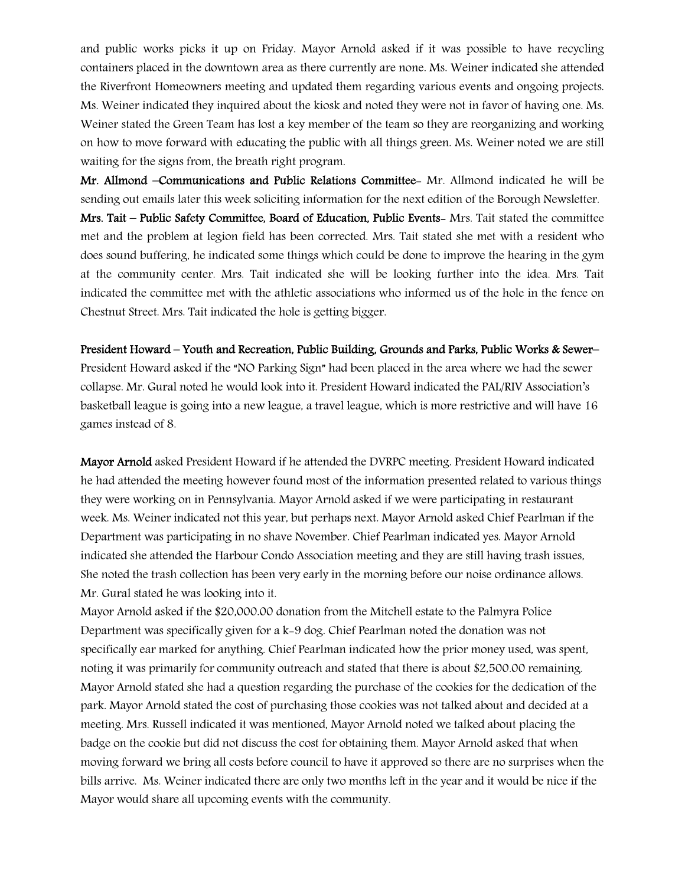and public works picks it up on Friday. Mayor Arnold asked if it was possible to have recycling containers placed in the downtown area as there currently are none. Ms. Weiner indicated she attended the Riverfront Homeowners meeting and updated them regarding various events and ongoing projects. Ms. Weiner indicated they inquired about the kiosk and noted they were not in favor of having one. Ms. Weiner stated the Green Team has lost a key member of the team so they are reorganizing and working on how to move forward with educating the public with all things green. Ms. Weiner noted we are still waiting for the signs from, the breath right program.

Mr. Allmond –Communications and Public Relations Committee- Mr. Allmond indicated he will be sending out emails later this week soliciting information for the next edition of the Borough Newsletter. Mrs. Tait – Public Safety Committee, Board of Education, Public Events- Mrs. Tait stated the committee met and the problem at legion field has been corrected. Mrs. Tait stated she met with a resident who does sound buffering, he indicated some things which could be done to improve the hearing in the gym at the community center. Mrs. Tait indicated she will be looking further into the idea. Mrs. Tait indicated the committee met with the athletic associations who informed us of the hole in the fence on Chestnut Street. Mrs. Tait indicated the hole is getting bigger.

#### President Howard – Youth and Recreation, Public Building, Grounds and Parks, Public Works & Sewer–

President Howard asked if the "NO Parking Sign" had been placed in the area where we had the sewer collapse. Mr. Gural noted he would look into it. President Howard indicated the PAL/RIV Association's basketball league is going into a new league, a travel league, which is more restrictive and will have 16 games instead of 8.

Mayor Arnold asked President Howard if he attended the DVRPC meeting. President Howard indicated he had attended the meeting however found most of the information presented related to various things they were working on in Pennsylvania. Mayor Arnold asked if we were participating in restaurant week. Ms. Weiner indicated not this year, but perhaps next. Mayor Arnold asked Chief Pearlman if the Department was participating in no shave November. Chief Pearlman indicated yes. Mayor Arnold indicated she attended the Harbour Condo Association meeting and they are still having trash issues, She noted the trash collection has been very early in the morning before our noise ordinance allows. Mr. Gural stated he was looking into it.

Mayor Arnold asked if the \$20,000.00 donation from the Mitchell estate to the Palmyra Police Department was specifically given for a k-9 dog. Chief Pearlman noted the donation was not specifically ear marked for anything. Chief Pearlman indicated how the prior money used, was spent, noting it was primarily for community outreach and stated that there is about \$2,500.00 remaining. Mayor Arnold stated she had a question regarding the purchase of the cookies for the dedication of the park. Mayor Arnold stated the cost of purchasing those cookies was not talked about and decided at a meeting. Mrs. Russell indicated it was mentioned, Mayor Arnold noted we talked about placing the badge on the cookie but did not discuss the cost for obtaining them. Mayor Arnold asked that when moving forward we bring all costs before council to have it approved so there are no surprises when the bills arrive. Ms. Weiner indicated there are only two months left in the year and it would be nice if the Mayor would share all upcoming events with the community.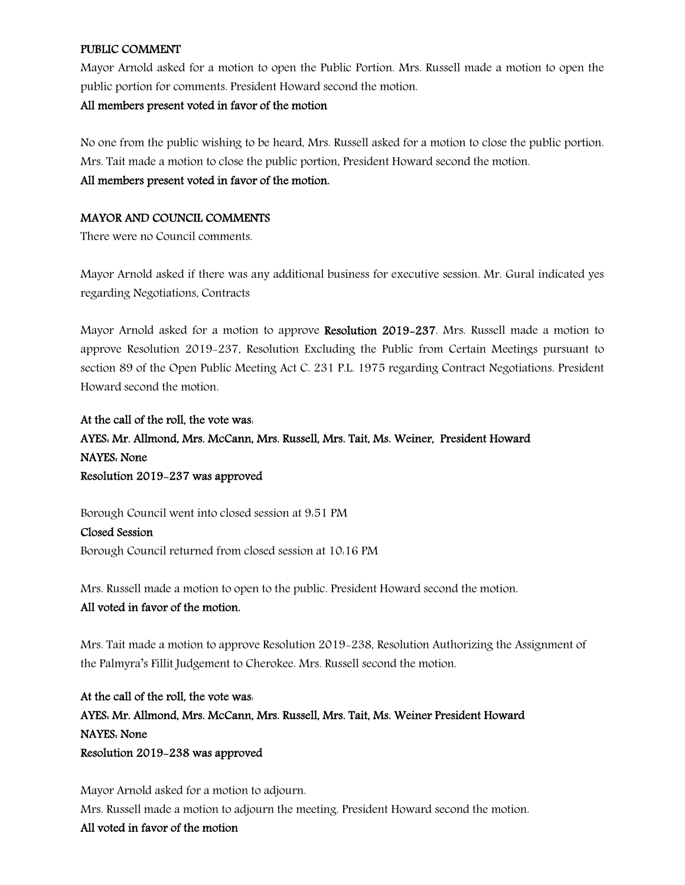#### PUBLIC COMMENT

Mayor Arnold asked for a motion to open the Public Portion. Mrs. Russell made a motion to open the public portion for comments. President Howard second the motion.

#### All members present voted in favor of the motion

No one from the public wishing to be heard, Mrs. Russell asked for a motion to close the public portion. Mrs. Tait made a motion to close the public portion, President Howard second the motion.

#### All members present voted in favor of the motion.

## MAYOR AND COUNCIL COMMENTS

There were no Council comments.

Mayor Arnold asked if there was any additional business for executive session. Mr. Gural indicated yes regarding Negotiations, Contracts

Mayor Arnold asked for a motion to approve Resolution 2019-237. Mrs. Russell made a motion to approve Resolution 2019-237, Resolution Excluding the Public from Certain Meetings pursuant to section 89 of the Open Public Meeting Act C. 231 P.L. 1975 regarding Contract Negotiations. President Howard second the motion.

At the call of the roll, the vote was: AYES: Mr. Allmond, Mrs. McCann, Mrs. Russell, Mrs. Tait, Ms. Weiner, President Howard NAYES: None Resolution 2019-237 was approved

Borough Council went into closed session at 9:51 PM

Closed Session Borough Council returned from closed session at 10:16 PM

Mrs. Russell made a motion to open to the public. President Howard second the motion.

## All voted in favor of the motion.

Mrs. Tait made a motion to approve Resolution 2019-238, Resolution Authorizing the Assignment of the Palmyra's Fillit Judgement to Cherokee. Mrs. Russell second the motion.

At the call of the roll, the vote was: AYES: Mr. Allmond, Mrs. McCann, Mrs. Russell, Mrs. Tait, Ms. Weiner President Howard NAYES: None Resolution 2019-238 was approved

Mayor Arnold asked for a motion to adjourn. Mrs. Russell made a motion to adjourn the meeting. President Howard second the motion. All voted in favor of the motion